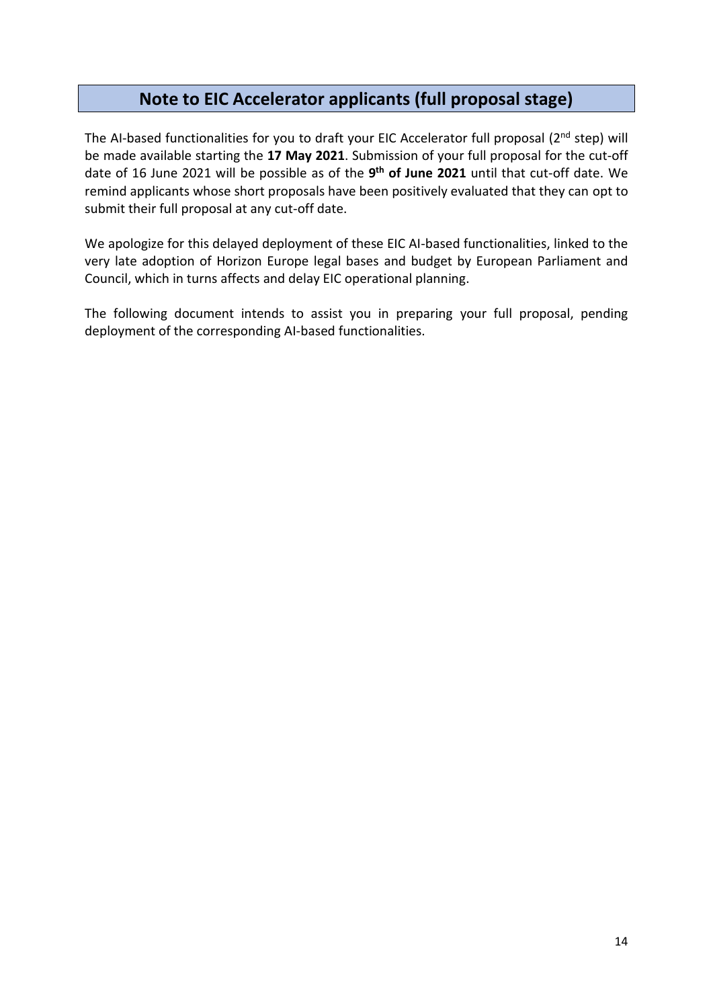# **Note to EIC Accelerator applicants (full proposal stage)**

The AI-based functionalities for you to draft your EIC Accelerator full proposal ( $2<sup>nd</sup>$  step) will be made available starting the **17 May 2021**. Submission of your full proposal for the cut-off date of 16 June 2021 will be possible as of the **9 th of June 2021** until that cut-off date. We remind applicants whose short proposals have been positively evaluated that they can opt to submit their full proposal at any cut-off date.

We apologize for this delayed deployment of these EIC AI-based functionalities, linked to the very late adoption of Horizon Europe legal bases and budget by European Parliament and Council, which in turns affects and delay EIC operational planning.

The following document intends to assist you in preparing your full proposal, pending deployment of the corresponding AI-based functionalities.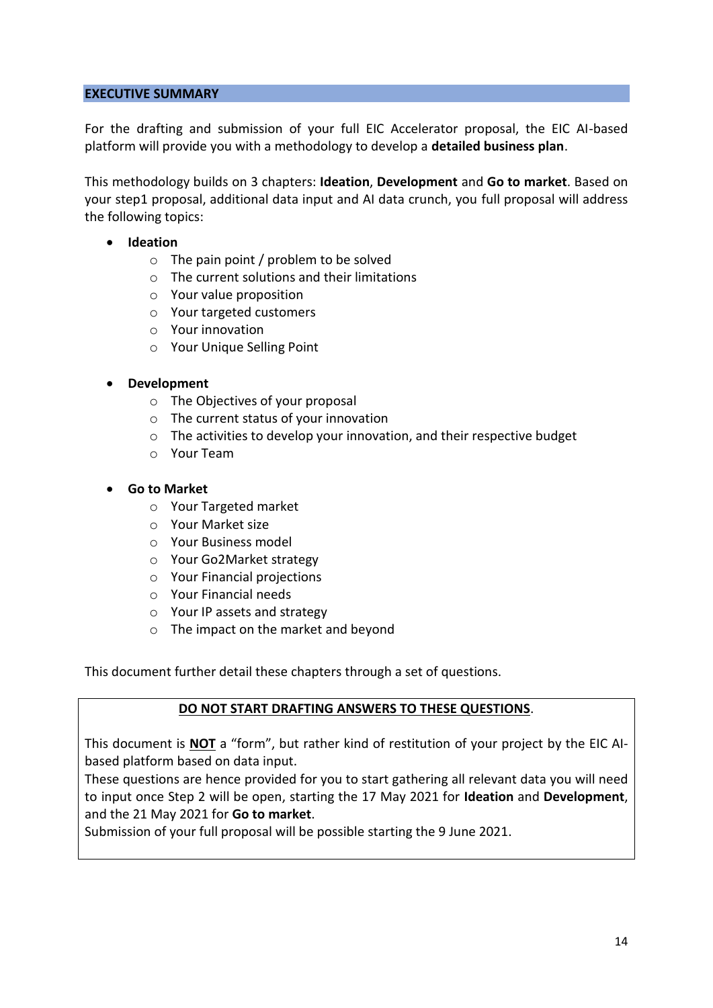### **EXECUTIVE SUMMARY**

For the drafting and submission of your full EIC Accelerator proposal, the EIC AI-based platform will provide you with a methodology to develop a **detailed business plan**.

This methodology builds on 3 chapters: **Ideation**, **Development** and **Go to market**. Based on your step1 proposal, additional data input and AI data crunch, you full proposal will address the following topics:

- **Ideation**
	- o The pain point / problem to be solved
	- o The current solutions and their limitations
	- o Your value proposition
	- o Your targeted customers
	- o Your innovation
	- o Your Unique Selling Point

### • **Development**

- o The Objectives of your proposal
- o The current status of your innovation
- o The activities to develop your innovation, and their respective budget
- o Your Team

### • **Go to Market**

- o Your Targeted market
- o Your Market size
- o Your Business model
- o Your Go2Market strategy
- o Your Financial projections
- o Your Financial needs
- o Your IP assets and strategy
- o The impact on the market and beyond

This document further detail these chapters through a set of questions.

### **DO NOT START DRAFTING ANSWERS TO THESE QUESTIONS**.

This document is **NOT** a "form", but rather kind of restitution of your project by the EIC AIbased platform based on data input.

These questions are hence provided for you to start gathering all relevant data you will need to input once Step 2 will be open, starting the 17 May 2021 for **Ideation** and **Development**, and the 21 May 2021 for **Go to market**.

Submission of your full proposal will be possible starting the 9 June 2021.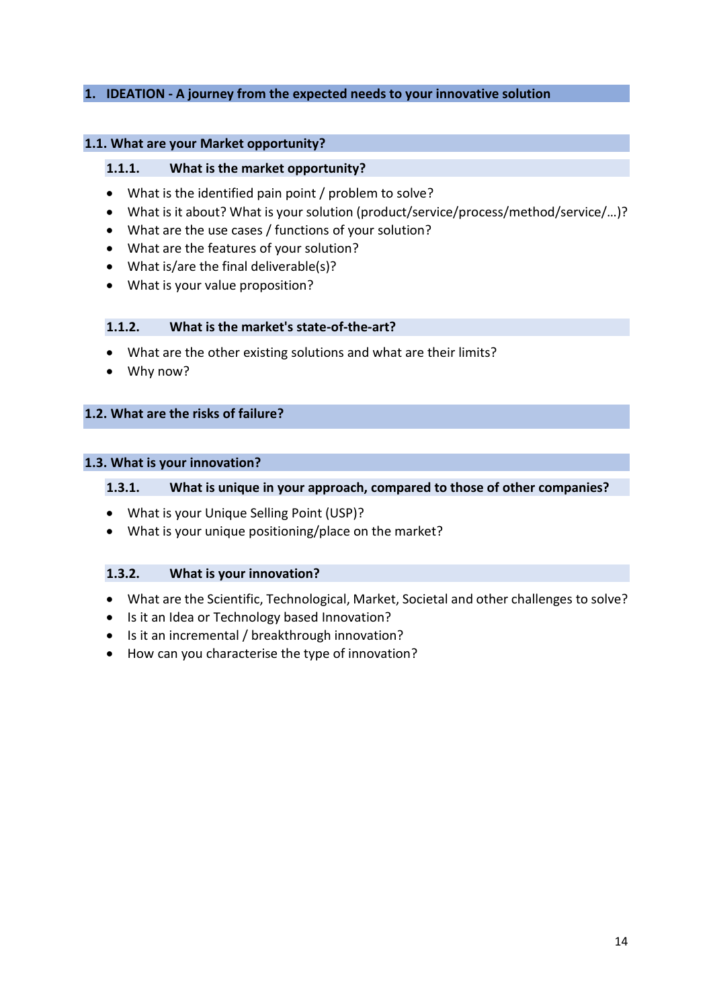### **1. IDEATION - A journey from the expected needs to your innovative solution**

#### **1.1. What are your Market opportunity?**

#### **1.1.1. What is the market opportunity?**

- What is the identified pain point / problem to solve?
- What is it about? What is your solution (product/service/process/method/service/…)?
- What are the use cases / functions of your solution?
- What are the features of your solution?
- What is/are the final deliverable(s)?
- What is your value proposition?

#### **1.1.2. What is the market's state-of-the-art?**

- What are the other existing solutions and what are their limits?
- Why now?

### **1.2. What are the risks of failure?**

#### **1.3. What is your innovation?**

### **1.3.1. What is unique in your approach, compared to those of other companies?**

- What is your Unique Selling Point (USP)?
- What is your unique positioning/place on the market?

#### **1.3.2. What is your innovation?**

- What are the Scientific, Technological, Market, Societal and other challenges to solve?
- Is it an Idea or Technology based Innovation?
- Is it an incremental / breakthrough innovation?
- How can you characterise the type of innovation?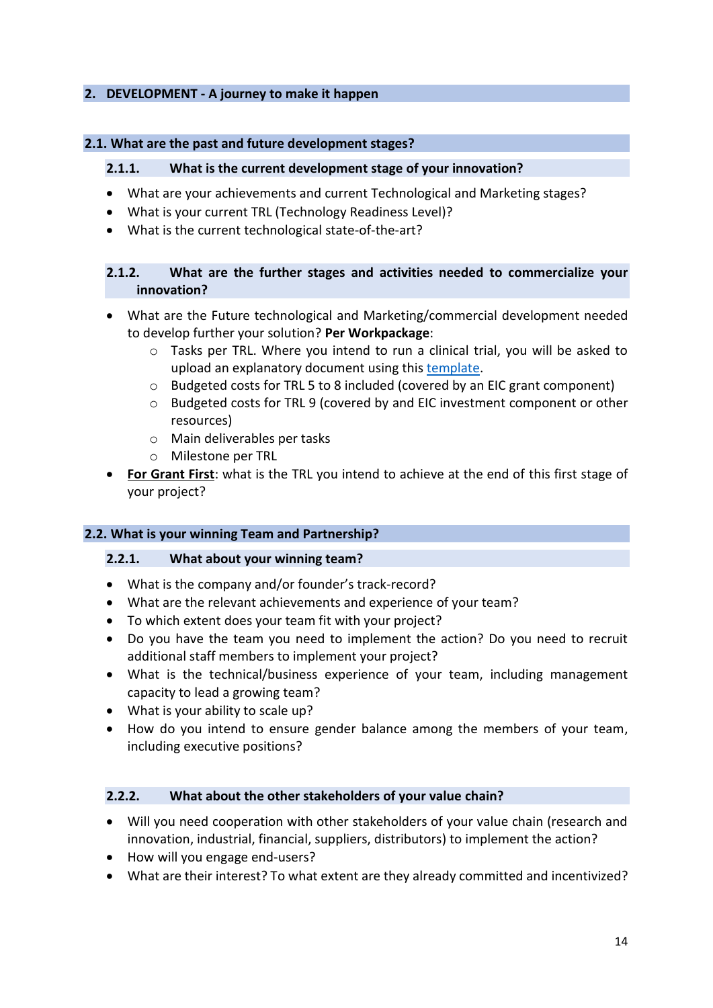### **2. DEVELOPMENT - A journey to make it happen**

#### **2.1. What are the past and future development stages?**

#### **2.1.1. What is the current development stage of your innovation?**

- What are your achievements and current Technological and Marketing stages?
- What is your current TRL (Technology Readiness Level)?
- What is the current technological state-of-the-art?

### **2.1.2. What are the further stages and activities needed to commercialize your innovation?**

- What are the Future technological and Marketing/commercial development needed to develop further your solution? **Per Workpackage**:
	- $\circ$  Tasks per TRL. Where you intend to run a clinical trial, you will be asked to upload an explanatory document using this [template.](about:blank)
	- o Budgeted costs for TRL 5 to 8 included (covered by an EIC grant component)
	- o Budgeted costs for TRL 9 (covered by and EIC investment component or other resources)
	- o Main deliverables per tasks
	- o Milestone per TRL
- **For Grant First**: what is the TRL you intend to achieve at the end of this first stage of your project?

### **2.2. What is your winning Team and Partnership?**

### **2.2.1. What about your winning team?**

- What is the company and/or founder's track-record?
- What are the relevant achievements and experience of your team?
- To which extent does your team fit with your project?
- Do you have the team you need to implement the action? Do you need to recruit additional staff members to implement your project?
- What is the technical/business experience of your team, including management capacity to lead a growing team?
- What is your ability to scale up?
- How do you intend to ensure gender balance among the members of your team, including executive positions?

### **2.2.2. What about the other stakeholders of your value chain?**

- Will you need cooperation with other stakeholders of your value chain (research and innovation, industrial, financial, suppliers, distributors) to implement the action?
- How will you engage end-users?
- What are their interest? To what extent are they already committed and incentivized?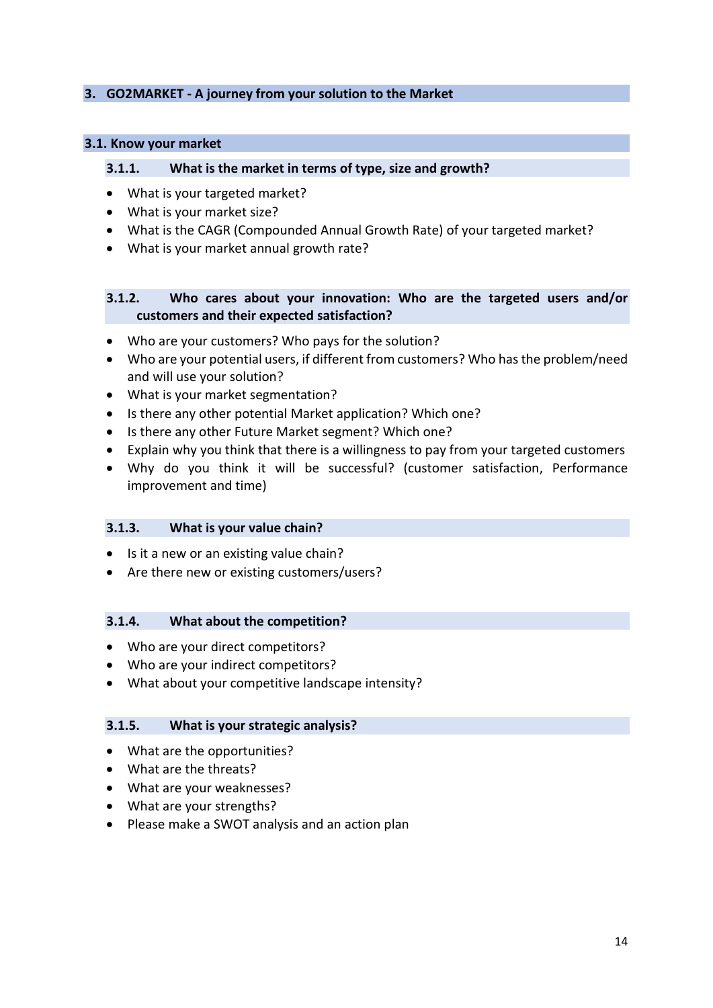### **3. GO2MARKET - A journey from your solution to the Market**

#### **3.1. Know your market**

#### **3.1.1. What is the market in terms of type, size and growth?**

- What is your targeted market?
- What is your market size?
- What is the CAGR (Compounded Annual Growth Rate) of your targeted market?
- What is your market annual growth rate?

### **3.1.2. Who cares about your innovation: Who are the targeted users and/or customers and their expected satisfaction?**

- Who are your customers? Who pays for the solution?
- Who are your potential users, if different from customers? Who has the problem/need and will use your solution?
- What is your market segmentation?
- Is there any other potential Market application? Which one?
- Is there any other Future Market segment? Which one?
- Explain why you think that there is a willingness to pay from your targeted customers
- Why do you think it will be successful? (customer satisfaction, Performance improvement and time)

### **3.1.3. What is your value chain?**

- Is it a new or an existing value chain?
- Are there new or existing customers/users?

### **3.1.4. What about the competition?**

- Who are your direct competitors?
- Who are your indirect competitors?
- What about your competitive landscape intensity?

#### **3.1.5. What is your strategic analysis?**

- What are the opportunities?
- What are the threats?
- What are your weaknesses?
- What are your strengths?
- Please make a SWOT analysis and an action plan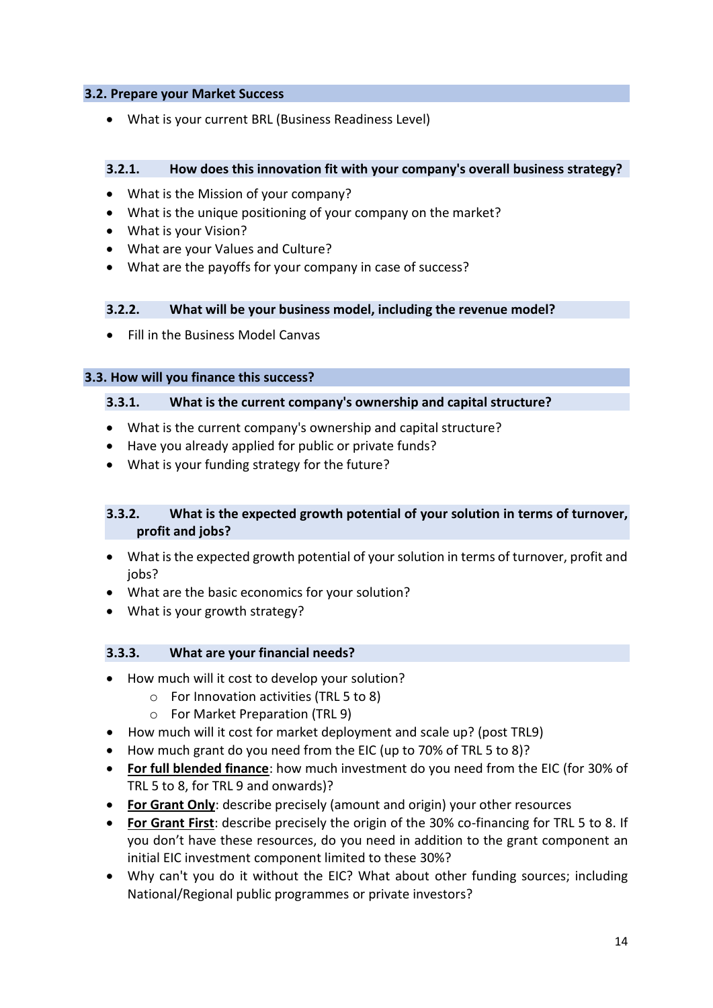### **3.2. Prepare your Market Success**

• What is your current BRL (Business Readiness Level)

### **3.2.1. How does this innovation fit with your company's overall business strategy?**

- What is the Mission of your company?
- What is the unique positioning of your company on the market?
- What is your Vision?
- What are your Values and Culture?
- What are the payoffs for your company in case of success?

### **3.2.2. What will be your business model, including the revenue model?**

• Fill in the Business Model Canvas

### **3.3. How will you finance this success?**

### **3.3.1. What is the current company's ownership and capital structure?**

- What is the current company's ownership and capital structure?
- Have you already applied for public or private funds?
- What is your funding strategy for the future?

### **3.3.2. What is the expected growth potential of your solution in terms of turnover, profit and jobs?**

- What is the expected growth potential of your solution in terms of turnover, profit and jobs?
- What are the basic economics for your solution?
- What is your growth strategy?

### **3.3.3. What are your financial needs?**

- How much will it cost to develop your solution?
	- o For Innovation activities (TRL 5 to 8)
	- o For Market Preparation (TRL 9)
- How much will it cost for market deployment and scale up? (post TRL9)
- How much grant do you need from the EIC (up to 70% of TRL 5 to 8)?
- **For full blended finance**: how much investment do you need from the EIC (for 30% of TRL 5 to 8, for TRL 9 and onwards)?
- **For Grant Only**: describe precisely (amount and origin) your other resources
- **For Grant First**: describe precisely the origin of the 30% co-financing for TRL 5 to 8. If you don't have these resources, do you need in addition to the grant component an initial EIC investment component limited to these 30%?
- Why can't you do it without the EIC? What about other funding sources; including National/Regional public programmes or private investors?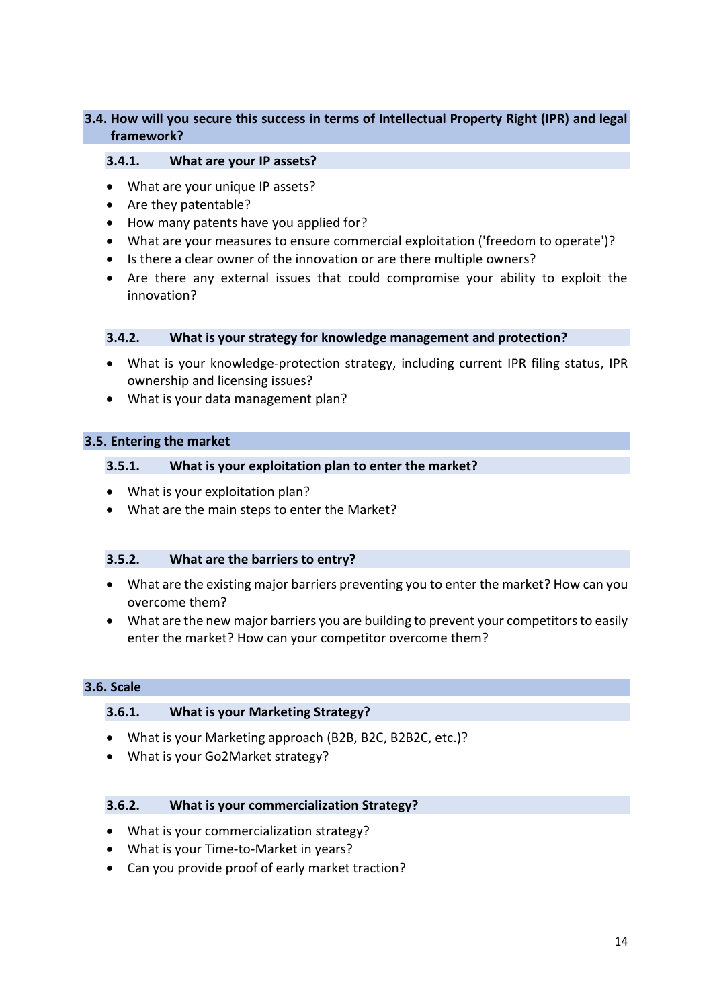### **3.4. How will you secure this success in terms of Intellectual Property Right (IPR) and legal framework?**

#### **3.4.1. What are your IP assets?**

- What are your unique IP assets?
- Are they patentable?
- How many patents have you applied for?
- What are your measures to ensure commercial exploitation ('freedom to operate')?
- Is there a clear owner of the innovation or are there multiple owners?
- Are there any external issues that could compromise your ability to exploit the innovation?

#### **3.4.2. What is your strategy for knowledge management and protection?**

- What is your knowledge-protection strategy, including current IPR filing status, IPR ownership and licensing issues?
- What is your data management plan?

### **3.5. Entering the market**

### **3.5.1. What is your exploitation plan to enter the market?**

- What is your exploitation plan?
- What are the main steps to enter the Market?

#### **3.5.2. What are the barriers to entry?**

- What are the existing major barriers preventing you to enter the market? How can you overcome them?
- What are the new major barriers you are building to prevent your competitors to easily enter the market? How can your competitor overcome them?

#### **3.6. Scale**

### **3.6.1. What is your Marketing Strategy?**

- What is your Marketing approach (B2B, B2C, B2B2C, etc.)?
- What is your Go2Market strategy?

### **3.6.2. What is your commercialization Strategy?**

- What is your commercialization strategy?
- What is your Time-to-Market in years?
- Can you provide proof of early market traction?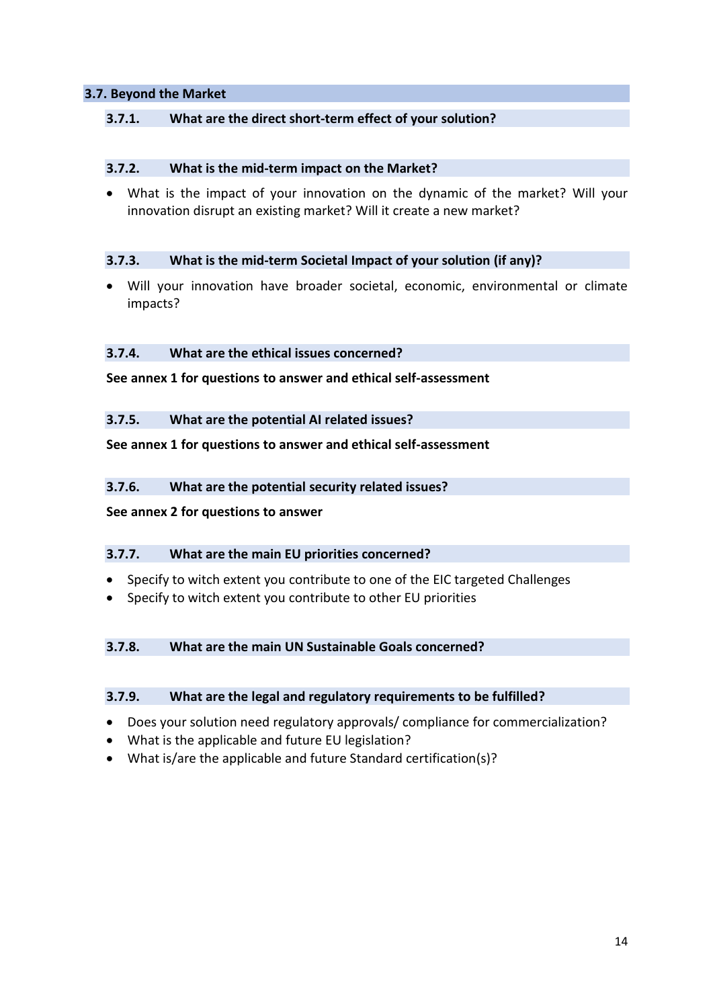### **3.7. Beyond the Market**

### **3.7.1. What are the direct short-term effect of your solution?**

#### **3.7.2. What is the mid-term impact on the Market?**

• What is the impact of your innovation on the dynamic of the market? Will your innovation disrupt an existing market? Will it create a new market?

#### **3.7.3. What is the mid-term Societal Impact of your solution (if any)?**

• Will your innovation have broader societal, economic, environmental or climate impacts?

### **3.7.4. What are the ethical issues concerned?**

**See annex 1 for questions to answer and ethical self-assessment**

#### **3.7.5. What are the potential AI related issues?**

### **See annex 1 for questions to answer and ethical self-assessment**

### **3.7.6. What are the potential security related issues?**

#### **See annex 2 for questions to answer**

### **3.7.7. What are the main EU priorities concerned?**

- Specify to witch extent you contribute to one of the EIC targeted Challenges
- Specify to witch extent you contribute to other EU priorities

### **3.7.8. What are the main UN Sustainable Goals concerned?**

### **3.7.9. What are the legal and regulatory requirements to be fulfilled?**

- Does your solution need regulatory approvals/ compliance for commercialization?
- What is the applicable and future EU legislation?
- What is/are the applicable and future Standard certification(s)?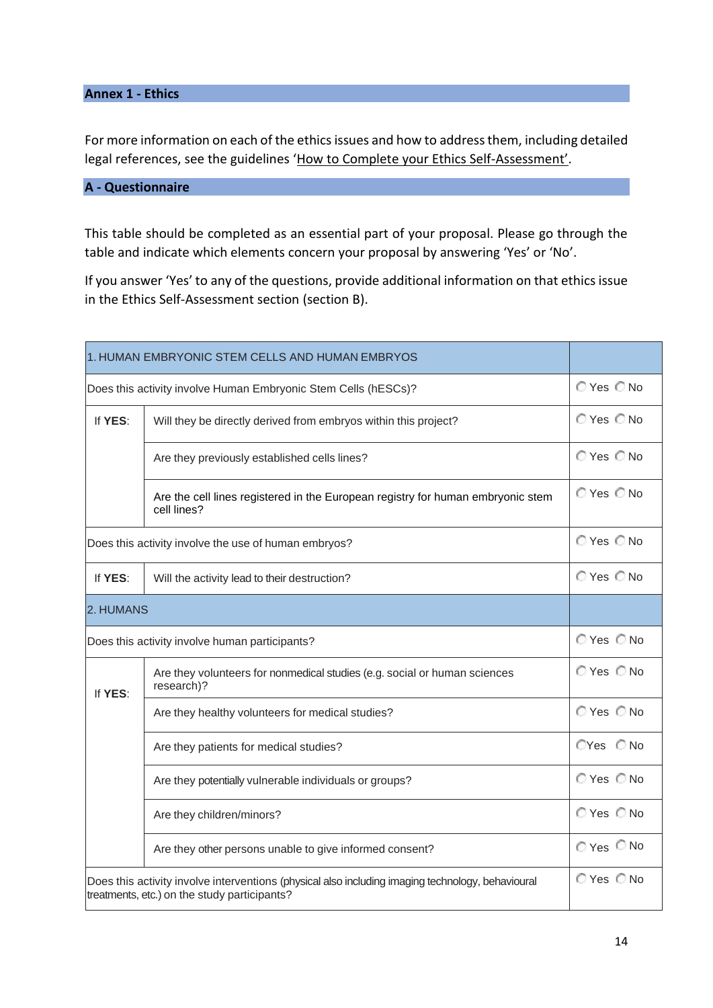### **Annex 1 - Ethics**

For more information on each of the ethics issues and how to address them, including detailed legal references, see the guidelines '[How to Complete your Ethics Self-](about:blank)Assessment'.

### **A - Questionnaire**

This table should be completed as an essential part of your proposal. Please go through the table and indicate which elements concern your proposal by answering 'Yes' or 'No'.

If you answer 'Yes' to any of the questions, provide additional information on that ethics issue in the Ethics Self-Assessment section (section B).

| 1. HUMAN EMBRYONIC STEM CELLS AND HUMAN EMBRYOS                                                                                                   |                                                                                                |                |
|---------------------------------------------------------------------------------------------------------------------------------------------------|------------------------------------------------------------------------------------------------|----------------|
| Does this activity involve Human Embryonic Stem Cells (hESCs)?                                                                                    |                                                                                                | ◯ Yes ◯ No     |
| If YES:                                                                                                                                           | Will they be directly derived from embryos within this project?                                | ◯ Yes ◯ No     |
|                                                                                                                                                   | Are they previously established cells lines?                                                   | ◯ Yes ◯ No     |
|                                                                                                                                                   | Are the cell lines registered in the European registry for human embryonic stem<br>cell lines? | ◯ Yes ◯ No     |
| Does this activity involve the use of human embryos?                                                                                              |                                                                                                | ◯ Yes ◯ No     |
| If YES:                                                                                                                                           | Will the activity lead to their destruction?                                                   | ◯ Yes ◯ No     |
| 2. HUMANS                                                                                                                                         |                                                                                                |                |
| Does this activity involve human participants?                                                                                                    |                                                                                                | ◯ Yes ◯ No     |
| If YES:                                                                                                                                           | Are they volunteers for nonmedical studies (e.g. social or human sciences<br>research)?        | ◯ Yes ◯ No     |
|                                                                                                                                                   | Are they healthy volunteers for medical studies?                                               | ○Yes ○No       |
|                                                                                                                                                   | Are they patients for medical studies?                                                         | CYes C No      |
|                                                                                                                                                   | Are they potentially vulnerable individuals or groups?                                         | ◯ Yes ◯ No     |
|                                                                                                                                                   | Are they children/minors?                                                                      | ◯ Yes ◯ No     |
|                                                                                                                                                   | Are they other persons unable to give informed consent?                                        | $O$ Yes $O$ No |
| Does this activity involve interventions (physical also including imaging technology, behavioural<br>treatments, etc.) on the study participants? |                                                                                                | ◯ Yes ◯ No     |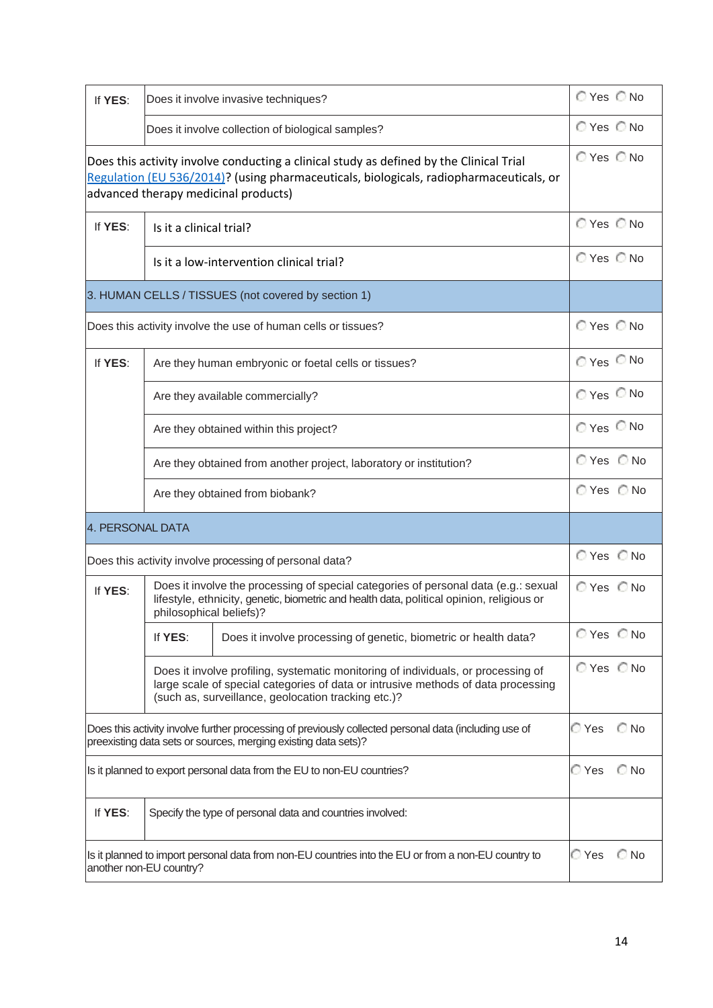| If YES:                                                                                                                                                                                                                    |                                                               | Does it involve invasive techniques?                                                                                                                                                                                          | ◯ Yes ◯ No    |            |
|----------------------------------------------------------------------------------------------------------------------------------------------------------------------------------------------------------------------------|---------------------------------------------------------------|-------------------------------------------------------------------------------------------------------------------------------------------------------------------------------------------------------------------------------|---------------|------------|
|                                                                                                                                                                                                                            |                                                               | Does it involve collection of biological samples?                                                                                                                                                                             | ◯ Yes ◯ No    |            |
| Does this activity involve conducting a clinical study as defined by the Clinical Trial<br>Regulation (EU 536/2014)? (using pharmaceuticals, biologicals, radiopharmaceuticals, or<br>advanced therapy medicinal products) |                                                               | $OYes$ $O$ No                                                                                                                                                                                                                 |               |            |
| If YES:                                                                                                                                                                                                                    | Is it a clinical trial?                                       |                                                                                                                                                                                                                               | ◯ Yes ◯ No    |            |
|                                                                                                                                                                                                                            |                                                               | Is it a low-intervention clinical trial?                                                                                                                                                                                      | $OYes$ $O$ No |            |
| 3. HUMAN CELLS / TISSUES (not covered by section 1)                                                                                                                                                                        |                                                               |                                                                                                                                                                                                                               |               |            |
|                                                                                                                                                                                                                            | Does this activity involve the use of human cells or tissues? |                                                                                                                                                                                                                               |               | ◯ Yes ◯ No |
| If YES:                                                                                                                                                                                                                    |                                                               | Are they human embryonic or foetal cells or tissues?                                                                                                                                                                          | ○Yes ○No      |            |
|                                                                                                                                                                                                                            |                                                               | Are they available commercially?                                                                                                                                                                                              | $OYes$ $O$ No |            |
|                                                                                                                                                                                                                            |                                                               | Are they obtained within this project?                                                                                                                                                                                        | ⊙ Yes © No    |            |
|                                                                                                                                                                                                                            |                                                               | Are they obtained from another project, laboratory or institution?                                                                                                                                                            | ◯ Yes ◯ No    |            |
|                                                                                                                                                                                                                            |                                                               | Are they obtained from biobank?                                                                                                                                                                                               | ◯ Yes ◯ No    |            |
| 4. PERSONAL DATA                                                                                                                                                                                                           |                                                               |                                                                                                                                                                                                                               |               |            |
|                                                                                                                                                                                                                            | Does this activity involve processing of personal data?       |                                                                                                                                                                                                                               | ◯ Yes ◯ No    |            |
| If YES:                                                                                                                                                                                                                    | philosophical beliefs)?                                       | Does it involve the processing of special categories of personal data (e.g.: sexual<br>lifestyle, ethnicity, genetic, biometric and health data, political opinion, religious or                                              | ○Yes ○No      |            |
|                                                                                                                                                                                                                            | If YES:                                                       | Does it involve processing of genetic, biometric or health data?                                                                                                                                                              | © Yes © No    |            |
|                                                                                                                                                                                                                            |                                                               | Does it involve profiling, systematic monitoring of individuals, or processing of<br>large scale of special categories of data or intrusive methods of data processing<br>(such as, surveillance, geolocation tracking etc.)? | ◯ Yes ◯ No    |            |
|                                                                                                                                                                                                                            |                                                               | Does this activity involve further processing of previously collected personal data (including use of<br>preexisting data sets or sources, merging existing data sets)?                                                       | ⊘ Yes         | ∩ No       |
| Is it planned to export personal data from the EU to non-EU countries?                                                                                                                                                     |                                                               | C Yes                                                                                                                                                                                                                         | C No          |            |
| If YES:                                                                                                                                                                                                                    |                                                               | Specify the type of personal data and countries involved:                                                                                                                                                                     |               |            |
|                                                                                                                                                                                                                            | another non-EU country?                                       | Is it planned to import personal data from non-EU countries into the EU or from a non-EU country to                                                                                                                           | © Yes         | C No       |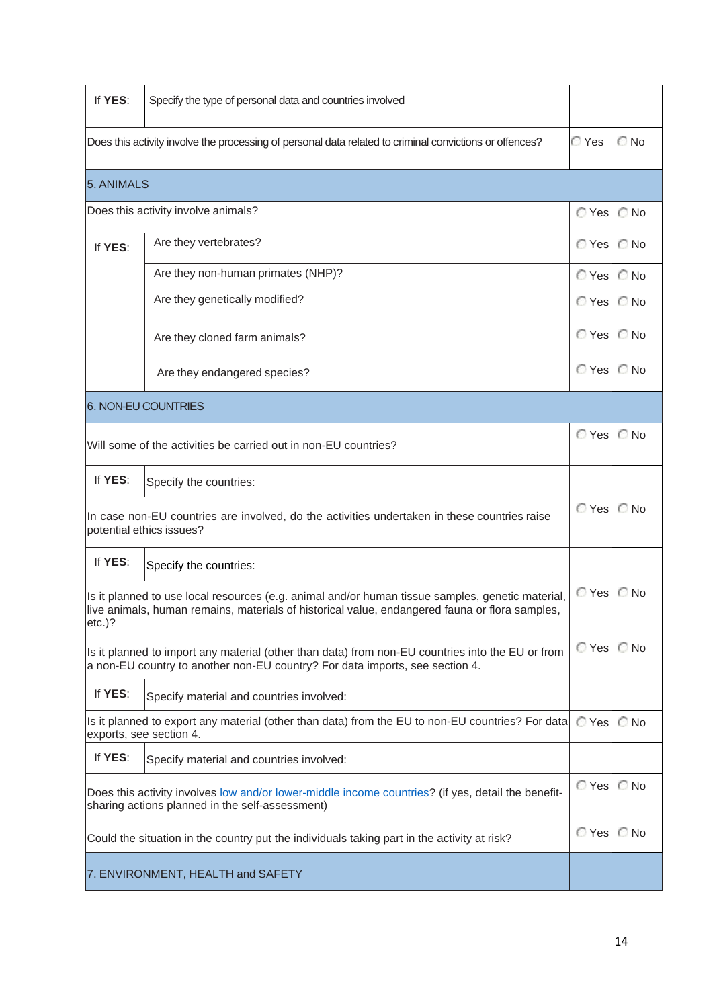| If YES:                                                                                                                                                                                                         | Specify the type of personal data and countries involved |               |               |
|-----------------------------------------------------------------------------------------------------------------------------------------------------------------------------------------------------------------|----------------------------------------------------------|---------------|---------------|
| Does this activity involve the processing of personal data related to criminal convictions or offences?                                                                                                         |                                                          | ⊘ Yes         | $\bigcirc$ No |
| 5. ANIMALS                                                                                                                                                                                                      |                                                          |               |               |
| Does this activity involve animals?                                                                                                                                                                             |                                                          |               | ◯ Yes ◯ No    |
| If YES:                                                                                                                                                                                                         | Are they vertebrates?                                    | ◯ Yes ◯ No    |               |
|                                                                                                                                                                                                                 | Are they non-human primates (NHP)?                       | ◯ Yes ◯ No    |               |
|                                                                                                                                                                                                                 | Are they genetically modified?                           | ○Yes ○No      |               |
|                                                                                                                                                                                                                 | Are they cloned farm animals?                            | ◯ Yes ◯ No    |               |
|                                                                                                                                                                                                                 | Are they endangered species?                             | $OYes$ $O$ No |               |
|                                                                                                                                                                                                                 | 6. NON-EU COUNTRIES                                      |               |               |
| Will some of the activities be carried out in non-EU countries?                                                                                                                                                 |                                                          | ◯ Yes ◯ No    |               |
| If YES:                                                                                                                                                                                                         | Specify the countries:                                   |               |               |
| In case non-EU countries are involved, do the activities undertaken in these countries raise<br>potential ethics issues?                                                                                        |                                                          | $OYes$ $O$ No |               |
| If YES:                                                                                                                                                                                                         | Specify the countries:                                   |               |               |
| Is it planned to use local resources (e.g. animal and/or human tissue samples, genetic material,<br>live animals, human remains, materials of historical value, endangered fauna or flora samples,<br>$etc.$ )? |                                                          | ◯ Yes ◯ No    |               |
| Is it planned to import any material (other than data) from non-EU countries into the EU or from<br>a non-EU country to another non-EU country? For data imports, see section 4.                                |                                                          | ○Yes ○No      |               |
| If YES:                                                                                                                                                                                                         | Specify material and countries involved:                 |               |               |
| Is it planned to export any material (other than data) from the EU to non-EU countries? For data<br>exports, see section 4.                                                                                     |                                                          | $OYes$ $O$ No |               |
| If YES:                                                                                                                                                                                                         | Specify material and countries involved:                 |               |               |
| Does this activity involves low and/or lower-middle income countries? (if yes, detail the benefit-<br>sharing actions planned in the self-assessment)                                                           |                                                          | ◯ Yes ◯ No    |               |
| Could the situation in the country put the individuals taking part in the activity at risk?                                                                                                                     |                                                          | ◯ Yes ◯ No    |               |
| 7. ENVIRONMENT, HEALTH and SAFETY                                                                                                                                                                               |                                                          |               |               |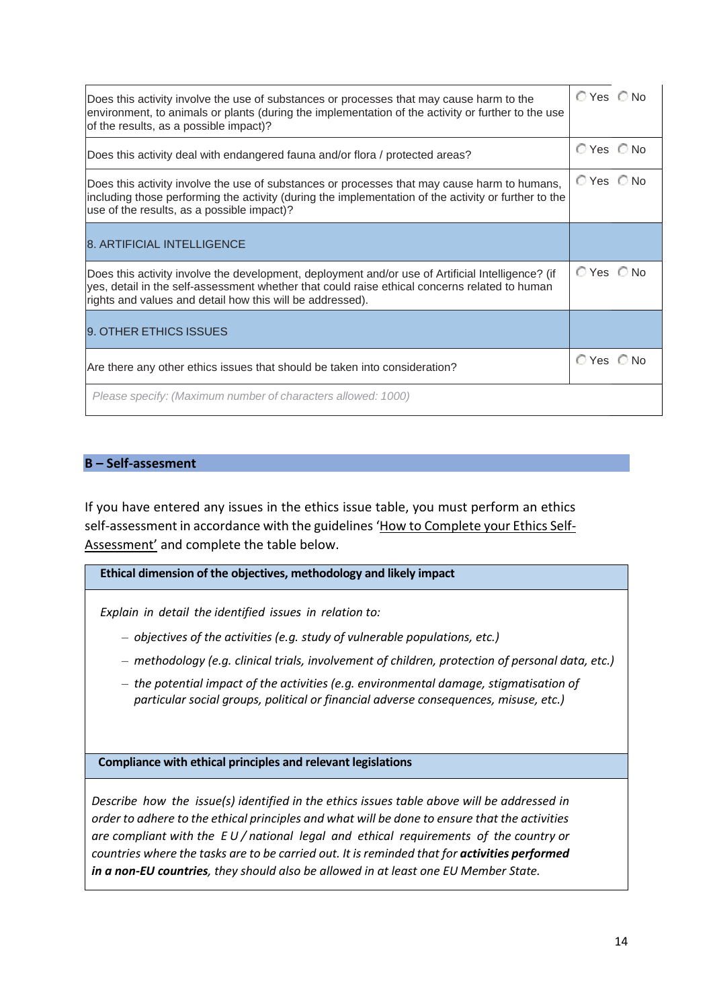| Does this activity involve the use of substances or processes that may cause harm to the<br>environment, to animals or plants (during the implementation of the activity or further to the use<br>of the results, as a possible impact)?                        | ○Yes ○No      |  |
|-----------------------------------------------------------------------------------------------------------------------------------------------------------------------------------------------------------------------------------------------------------------|---------------|--|
| Does this activity deal with endangered fauna and/or flora / protected areas?                                                                                                                                                                                   | $OYes$ $O$ No |  |
| Does this activity involve the use of substances or processes that may cause harm to humans,<br>including those performing the activity (during the implementation of the activity or further to the<br>use of the results, as a possible impact)?              | ◯ Yes ◯ No    |  |
| <b>8. ARTIFICIAL INTELLIGENCE</b>                                                                                                                                                                                                                               |               |  |
| Does this activity involve the development, deployment and/or use of Artificial Intelligence? (if<br>yes, detail in the self-assessment whether that could raise ethical concerns related to human<br>rights and values and detail how this will be addressed). | $OYes$ $O$ No |  |
| 9. OTHER ETHICS ISSUES                                                                                                                                                                                                                                          |               |  |
| Are there any other ethics issues that should be taken into consideration?                                                                                                                                                                                      | ◯ Yes ◯ No    |  |
| Please specify: (Maximum number of characters allowed: 1000)                                                                                                                                                                                                    |               |  |

### **B – Self-assesment**

If you have entered any issues in the ethics issue table, you must perform an ethics self-assessment in accordance with the guidelines '[How to Complete your Ethics Self-](about:blank)[Assessment'](about:blank) and complete the table below.

#### **Ethical dimension of the objectives, methodology and likely impact**

*Explain in detail the identified issues in relation to:*

- *objectives of the activities (e.g. study of vulnerable populations, etc.)*
- *methodology (e.g. clinical trials, involvement of children, protection of personal data, etc.)*
- *the potential impact of the activities (e.g. environmental damage, stigmatisation of particular social groups, political or financial adverse consequences, misuse, etc.)*

**Compliance with ethical principles and relevant legislations**

*Describe how the issue(s) identified in the ethics issues table above will be addressed in order to adhere to the ethical principles and what will be done to ensure that the activities are compliant with the E U / national legal and ethical requirements of the country or countries where the tasks are to be carried out. It is reminded that for activities performed in a non-EU countries, they should also be allowed in at least one EU Member State.*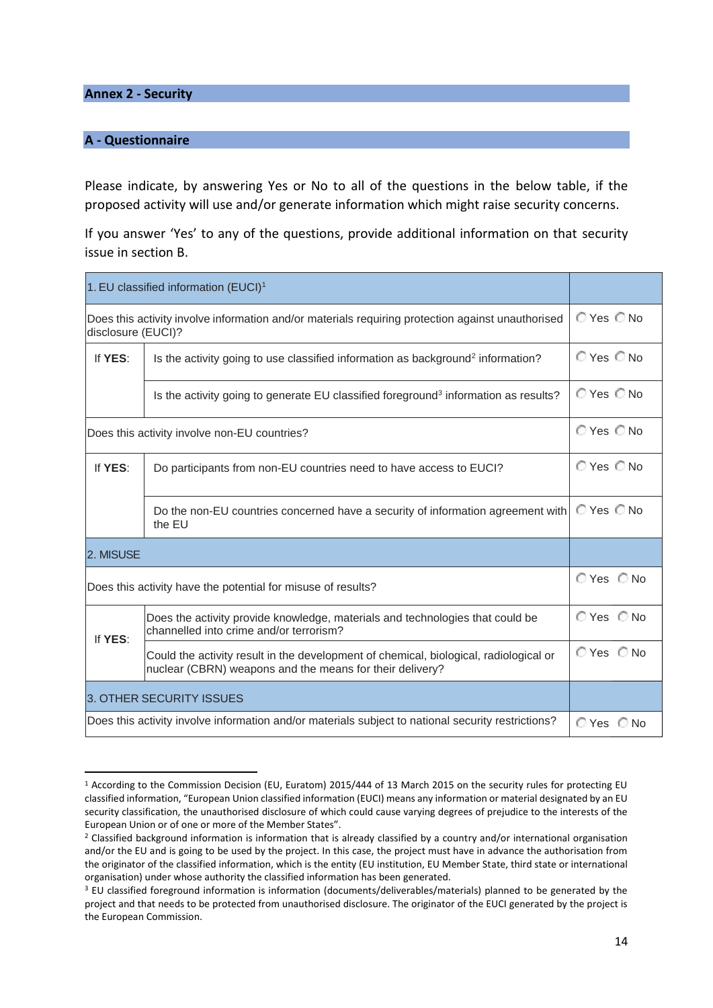**Annex 2 - Security**

#### **A - Questionnaire**

Please indicate, by answering Yes or No to all of the questions in the below table, if the proposed activity will use and/or generate information which might raise security concerns.

If you answer 'Yes' to any of the questions, provide additional information on that security issue in section B.

| 1. EU classified information (EUCI) <sup>1</sup>                                                                        |                                                                                                                                                   |                |
|-------------------------------------------------------------------------------------------------------------------------|---------------------------------------------------------------------------------------------------------------------------------------------------|----------------|
| Does this activity involve information and/or materials requiring protection against unauthorised<br>disclosure (EUCI)? |                                                                                                                                                   | © Yes © No     |
| If YES:                                                                                                                 | Is the activity going to use classified information as background <sup>2</sup> information?                                                       | © Yes © No     |
|                                                                                                                         | Is the activity going to generate EU classified foreground <sup>3</sup> information as results?                                                   | © Yes © No     |
| Does this activity involve non-EU countries?                                                                            |                                                                                                                                                   | ◯ Yes ◯ No     |
| If YES:                                                                                                                 | Do participants from non-EU countries need to have access to EUCI?                                                                                | $O$ Yes $O$ No |
|                                                                                                                         | Do the non-EU countries concerned have a security of information agreement with<br>the EU                                                         | ◯ Yes ◯ No     |
| 2. MISUSE                                                                                                               |                                                                                                                                                   |                |
| Does this activity have the potential for misuse of results?                                                            |                                                                                                                                                   | ◯ Yes ◯ No     |
| If YES:                                                                                                                 | Does the activity provide knowledge, materials and technologies that could be<br>channelled into crime and/or terrorism?                          | ◯ Yes ◯ No     |
|                                                                                                                         | Could the activity result in the development of chemical, biological, radiological or<br>nuclear (CBRN) weapons and the means for their delivery? | ◯ Yes ◯ No     |
| 3. OTHER SECURITY ISSUES                                                                                                |                                                                                                                                                   |                |
|                                                                                                                         | Does this activity involve information and/or materials subject to national security restrictions?                                                | ○Yes ○No       |

<sup>1</sup> According to the Commission Decision (EU, Euratom) 2015/444 of 13 March 2015 on the security rules for protecting EU classified information, "European Union classified information (EUCI) means any information or material designated by an EU security classification, the unauthorised disclosure of which could cause varying degrees of prejudice to the interests of the European Union or of one or more of the Member States".

<sup>&</sup>lt;sup>2</sup> Classified background information is information that is already classified by a country and/or international organisation and/or the EU and is going to be used by the project. In this case, the project must have in advance the authorisation from the originator of the classified information, which is the entity (EU institution, EU Member State, third state or international organisation) under whose authority the classified information has been generated.

<sup>&</sup>lt;sup>3</sup> EU classified foreground information is information (documents/deliverables/materials) planned to be generated by the project and that needs to be protected from unauthorised disclosure. The originator of the EUCI generated by the project is the European Commission.